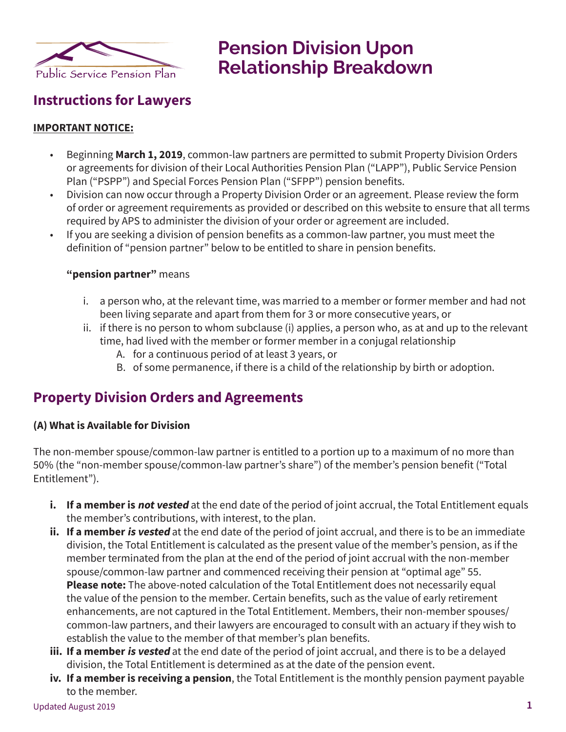

# **Pension Division Upon Relationship Breakdown**

## **Instructions for Lawyers**

#### **IMPORTANT NOTICE:**

- Beginning **March 1, 2019**, common-law partners are permitted to submit Property Division Orders or agreements for division of their Local Authorities Pension Plan ("LAPP"), Public Service Pension Plan ("PSPP") and Special Forces Pension Plan ("SFPP") pension benefits.
- Division can now occur through a Property Division Order or an agreement. Please review the form of order or agreement requirements as provided or described on this website to ensure that all terms required by APS to administer the division of your order or agreement are included.
- If you are seeking a division of pension benefits as a common-law partner, you must meet the definition of "pension partner" below to be entitled to share in pension benefits.

#### **"pension partner"** means

- i. a person who, at the relevant time, was married to a member or former member and had not been living separate and apart from them for 3 or more consecutive years, or
- ii. if there is no person to whom subclause (i) applies, a person who, as at and up to the relevant time, had lived with the member or former member in a conjugal relationship
	- A. for a continuous period of at least 3 years, or
	- B. of some permanence, if there is a child of the relationship by birth or adoption.

### **Property Division Orders and Agreements**

#### **(A) What is Available for Division**

The non-member spouse/common-law partner is entitled to a portion up to a maximum of no more than 50% (the "non-member spouse/common-law partner's share") of the member's pension benefit ("Total Entitlement").

- **i. If a member is not vested** at the end date of the period of joint accrual, the Total Entitlement equals the member's contributions, with interest, to the plan.
- **ii. If a member is vested** at the end date of the period of joint accrual, and there is to be an immediate division, the Total Entitlement is calculated as the present value of the member's pension, as if the member terminated from the plan at the end of the period of joint accrual with the non-member spouse/common-law partner and commenced receiving their pension at "optimal age" 55. **Please note:** The above-noted calculation of the Total Entitlement does not necessarily equal the value of the pension to the member. Certain benefits, such as the value of early retirement enhancements, are not captured in the Total Entitlement. Members, their non-member spouses/ common-law partners, and their lawyers are encouraged to consult with an actuary if they wish to establish the value to the member of that member's plan benefits.
- **iii. If a member is vested** at the end date of the period of joint accrual, and there is to be a delayed division, the Total Entitlement is determined as at the date of the pension event.
- **iv. If a member is receiving a pension**, the Total Entitlement is the monthly pension payment payable to the member.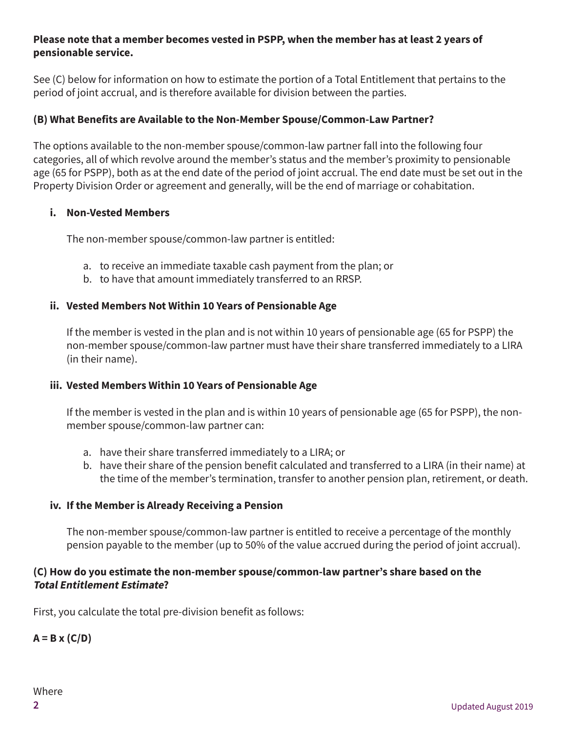#### **Please note that a member becomes vested in PSPP, when the member has at least 2 years of pensionable service.**

See (C) below for information on how to estimate the portion of a Total Entitlement that pertains to the period of joint accrual, and is therefore available for division between the parties.

#### **(B) What Benefits are Available to the Non-Member Spouse/Common-Law Partner?**

The options available to the non-member spouse/common-law partner fall into the following four categories, all of which revolve around the member's status and the member's proximity to pensionable age (65 for PSPP), both as at the end date of the period of joint accrual. The end date must be set out in the Property Division Order or agreement and generally, will be the end of marriage or cohabitation.

#### **i. Non-Vested Members**

The non-member spouse/common-law partner is entitled:

- a. to receive an immediate taxable cash payment from the plan; or
- b. to have that amount immediately transferred to an RRSP.

#### **ii. Vested Members Not Within 10 Years of Pensionable Age**

If the member is vested in the plan and is not within 10 years of pensionable age (65 for PSPP) the non-member spouse/common-law partner must have their share transferred immediately to a LIRA (in their name).

#### **iii. Vested Members Within 10 Years of Pensionable Age**

If the member is vested in the plan and is within 10 years of pensionable age (65 for PSPP), the nonmember spouse/common-law partner can:

- a. have their share transferred immediately to a LIRA; or
- b. have their share of the pension benefit calculated and transferred to a LIRA (in their name) at the time of the member's termination, transfer to another pension plan, retirement, or death.

#### **iv. If the Member is Already Receiving a Pension**

The non-member spouse/common-law partner is entitled to receive a percentage of the monthly pension payable to the member (up to 50% of the value accrued during the period of joint accrual).

#### **(C) How do you estimate the non-member spouse/common-law partner's share based on the Total Entitlement Estimate?**

First, you calculate the total pre-division benefit as follows:

#### **A = B x (C/D)**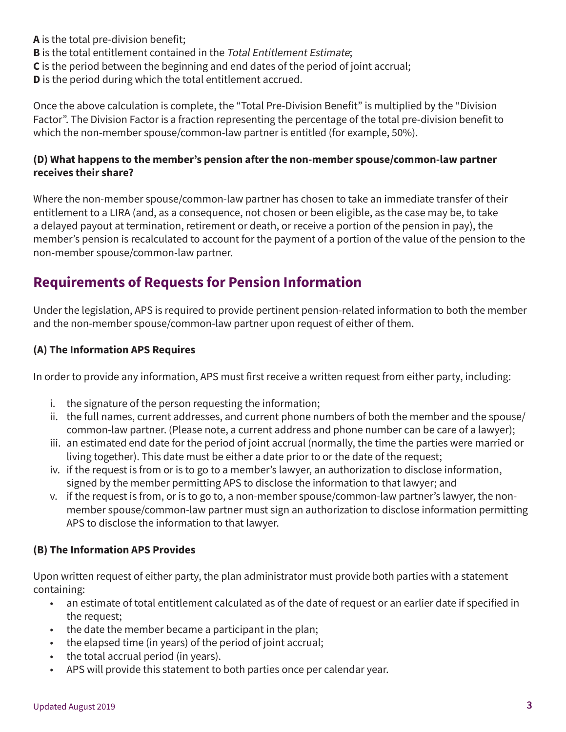- **A** is the total pre-division benefit;
- **B** is the total entitlement contained in the Total Entitlement Estimate;
- **C** is the period between the beginning and end dates of the period of joint accrual;
- **D** is the period during which the total entitlement accrued.

Once the above calculation is complete, the "Total Pre-Division Benefit" is multiplied by the "Division Factor". The Division Factor is a fraction representing the percentage of the total pre-division benefit to which the non-member spouse/common-law partner is entitled (for example, 50%).

#### **(D) What happens to the member's pension after the non-member spouse/common-law partner receives their share?**

Where the non-member spouse/common-law partner has chosen to take an immediate transfer of their entitlement to a LIRA (and, as a consequence, not chosen or been eligible, as the case may be, to take a delayed payout at termination, retirement or death, or receive a portion of the pension in pay), the member's pension is recalculated to account for the payment of a portion of the value of the pension to the non-member spouse/common-law partner.

### **Requirements of Requests for Pension Information**

Under the legislation, APS is required to provide pertinent pension-related information to both the member and the non-member spouse/common-law partner upon request of either of them.

#### **(A) The Information APS Requires**

In order to provide any information, APS must first receive a written request from either party, including:

- i. the signature of the person requesting the information;
- ii. the full names, current addresses, and current phone numbers of both the member and the spouse/ common-law partner. (Please note, a current address and phone number can be care of a lawyer);
- iii. an estimated end date for the period of joint accrual (normally, the time the parties were married or living together). This date must be either a date prior to or the date of the request;
- iv. if the request is from or is to go to a member's lawyer, an authorization to disclose information, signed by the member permitting APS to disclose the information to that lawyer; and
- v. if the request is from, or is to go to, a non-member spouse/common-law partner's lawyer, the nonmember spouse/common-law partner must sign an authorization to disclose information permitting APS to disclose the information to that lawyer.

#### **(B) The Information APS Provides**

Upon written request of either party, the plan administrator must provide both parties with a statement containing:

- an estimate of total entitlement calculated as of the date of request or an earlier date if specified in the request;
- the date the member became a participant in the plan;
- the elapsed time (in years) of the period of joint accrual;
- the total accrual period (in years).
- APS will provide this statement to both parties once per calendar year.